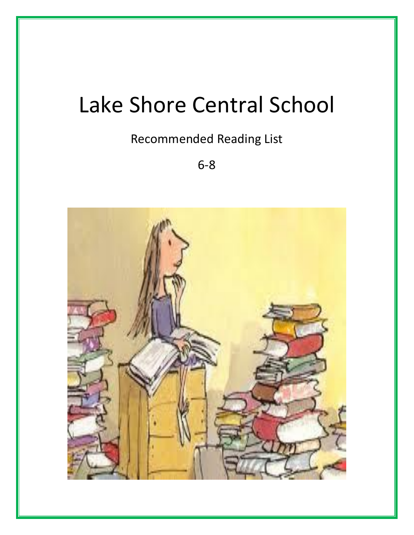# Lake Shore Central School

### Recommended Reading List

6-8

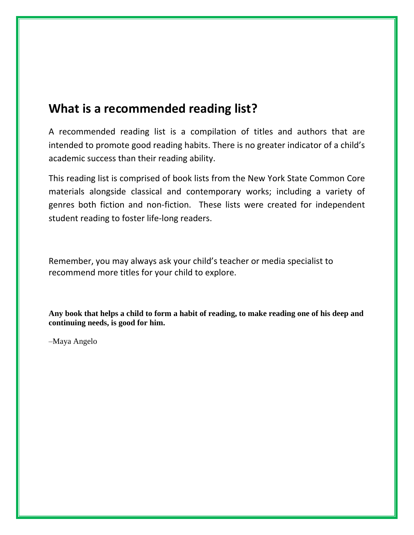#### **What is a recommended reading list?**

A recommended reading list is a compilation of titles and authors that are intended to promote good reading habits. There is no greater indicator of a child's academic success than their reading ability.

This reading list is comprised of book lists from the New York State Common Core materials alongside classical and contemporary works; including a variety of genres both fiction and non-fiction. These lists were created for independent student reading to foster life-long readers.

Remember, you may always ask your child's teacher or media specialist to recommend more titles for your child to explore.

**Any book that helps a child to form a habit of reading, to make reading one of his deep and continuing needs, is good for him.**

–Maya Angelo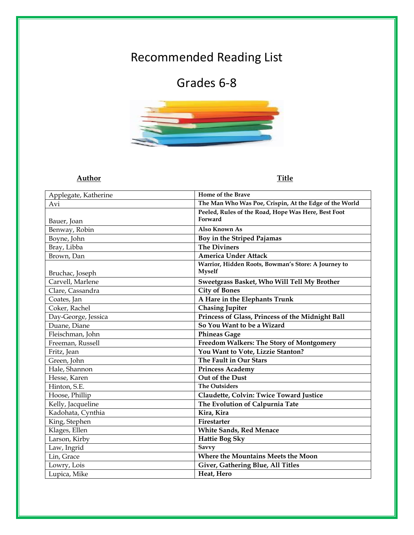# Recommended Reading List

## Grades 6-8



#### **Author Title**

| Applegate, Katherine | Home of the Brave                                      |
|----------------------|--------------------------------------------------------|
| Avi                  | The Man Who Was Poe, Crispin, At the Edge of the World |
|                      | Peeled, Rules of the Road, Hope Was Here, Best Foot    |
| Bauer, Joan          | Forward                                                |
| Benway, Robin        | <b>Also Known As</b>                                   |
| Boyne, John          | Boy in the Striped Pajamas                             |
| Bray, Libba          | <b>The Diviners</b>                                    |
| Brown, Dan           | <b>America Under Attack</b>                            |
|                      | Warrior, Hidden Roots, Bowman's Store: A Journey to    |
| Bruchac, Joseph      | <b>Myself</b>                                          |
| Carvell, Marlene     | Sweetgrass Basket, Who Will Tell My Brother            |
| Clare, Cassandra     | <b>City of Bones</b>                                   |
| Coates, Jan          | A Hare in the Elephants Trunk                          |
| Coker, Rachel        | Chasing Jupiter                                        |
| Day-George, Jessica  | Princess of Glass, Princess of the Midnight Ball       |
| Duane, Diane         | So You Want to be a Wizard                             |
| Fleischman, John     | <b>Phineas Gage</b>                                    |
| Freeman, Russell     | Freedom Walkers: The Story of Montgomery               |
| Fritz, Jean          | You Want to Vote, Lizzie Stanton?                      |
| Green, John          | The Fault in Our Stars                                 |
| Hale, Shannon        | <b>Princess Academy</b>                                |
| Hesse, Karen         | Out of the Dust                                        |
| Hinton, S.E.         | <b>The Outsiders</b>                                   |
| Hoose, Phillip       | Claudette, Colvin: Twice Toward Justice                |
| Kelly, Jacqueline    | The Evolution of Calpurnia Tate                        |
| Kadohata, Cynthia    | Kira, Kira                                             |
| King, Stephen        | Firestarter                                            |
| Klages, Ellen        | <b>White Sands, Red Menace</b>                         |
| Larson, Kirby        | <b>Hattie Bog Sky</b>                                  |
| Law, Ingrid          | <b>Savvy</b>                                           |
| Lin, Grace           | Where the Mountains Meets the Moon                     |
| Lowry, Lois          | Giver, Gathering Blue, All Titles                      |
| Lupica, Mike         | Heat, Hero                                             |